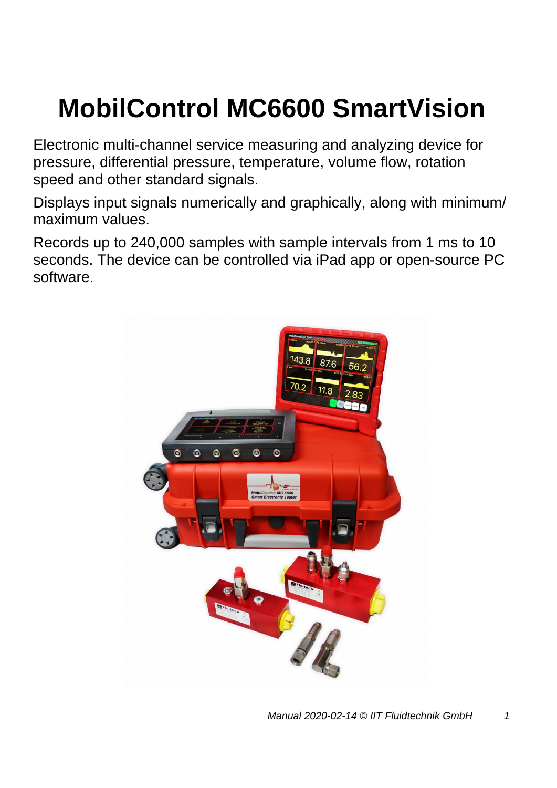# **MobilControl MC6600 SmartVision**

Electronic multi-channel service measuring and analyzing device for pressure, differential pressure, temperature, volume flow, rotation speed and other standard signals.

Displays input signals numerically and graphically, along with minimum/ maximum values.

Records up to 240,000 samples with sample intervals from 1 ms to 10 seconds. The device can be controlled via iPad app or open-source PC software.

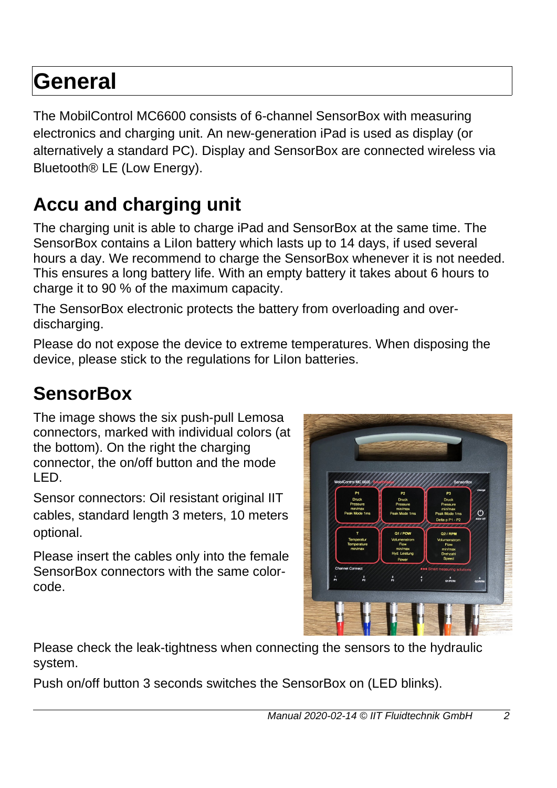# **General**

The MobilControl MC6600 consists of 6-channel SensorBox with measuring electronics and charging unit. An new-generation iPad is used as display (or alternatively a standard PC). Display and SensorBox are connected wireless via Bluetooth® LE (Low Energy).

### **Accu and charging unit**

The charging unit is able to charge iPad and SensorBox at the same time. The SensorBox contains a LiIon battery which lasts up to 14 days, if used several hours a day. We recommend to charge the SensorBox whenever it is not needed. This ensures a long battery life. With an empty battery it takes about 6 hours to charge it to 90 % of the maximum capacity.

The SensorBox electronic protects the battery from overloading and overdischarging.

Please do not expose the device to extreme temperatures. When disposing the device, please stick to the regulations for LiIon batteries.

### **SensorBox**

The image shows the six push-pull Lemosa connectors, marked with individual colors (at the bottom). On the right the charging connector, the on/off button and the mode LED.

Sensor connectors: Oil resistant original IIT cables, standard length 3 meters, 10 meters optional.

Please insert the cables only into the female SensorBox connectors with the same colorcode.



Please check the leak-tightness when connecting the sensors to the hydraulic system.

Push on/off button 3 seconds switches the SensorBox on (LED blinks).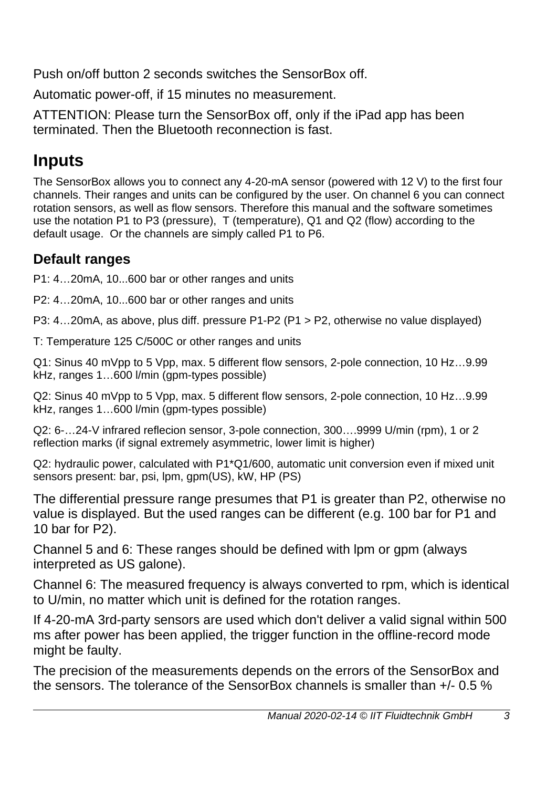Push on/off button 2 seconds switches the SensorBox off.

Automatic power-off, if 15 minutes no measurement.

ATTENTION: Please turn the SensorBox off, only if the iPad app has been terminated. Then the Bluetooth reconnection is fast.

### **Inputs**

The SensorBox allows you to connect any 4-20-mA sensor (powered with 12 V) to the first four channels. Their ranges and units can be configured by the user. On channel 6 you can connect rotation sensors, as well as flow sensors. Therefore this manual and the software sometimes use the notation P1 to P3 (pressure), T (temperature), Q1 and Q2 (flow) according to the default usage. Or the channels are simply called P1 to P6.

### **Default ranges**

P1: 4…20mA, 10...600 bar or other ranges and units

P2: 4…20mA, 10...600 bar or other ranges and units

P3: 4…20mA, as above, plus diff. pressure P1-P2 (P1 > P2, otherwise no value displayed)

T: Temperature 125 C/500C or other ranges and units

Q1: Sinus 40 mVpp to 5 Vpp, max. 5 different flow sensors, 2-pole connection, 10 Hz…9.99 kHz, ranges 1...600 l/min (gpm-types possible)

Q2: Sinus 40 mVpp to 5 Vpp, max. 5 different flow sensors, 2-pole connection, 10 Hz…9.99 kHz, ranges 1…600 l/min (gpm-types possible)

Q2: 6-…24-V infrared reflecion sensor, 3-pole connection, 300….9999 U/min (rpm), 1 or 2 reflection marks (if signal extremely asymmetric, lower limit is higher)

Q2: hydraulic power, calculated with P1\*Q1/600, automatic unit conversion even if mixed unit sensors present: bar, psi, lpm, gpm(US), kW, HP (PS)

The differential pressure range presumes that P1 is greater than P2, otherwise no value is displayed. But the used ranges can be different (e.g. 100 bar for P1 and 10 bar for P2).

Channel 5 and 6: These ranges should be defined with lpm or gpm (always interpreted as US galone).

Channel 6: The measured frequency is always converted to rpm, which is identical to U/min, no matter which unit is defined for the rotation ranges.

If 4-20-mA 3rd-party sensors are used which don't deliver a valid signal within 500 ms after power has been applied, the trigger function in the offline-record mode might be faulty.

The precision of the measurements depends on the errors of the SensorBox and the sensors. The tolerance of the SensorBox channels is smaller than +/- 0.5 %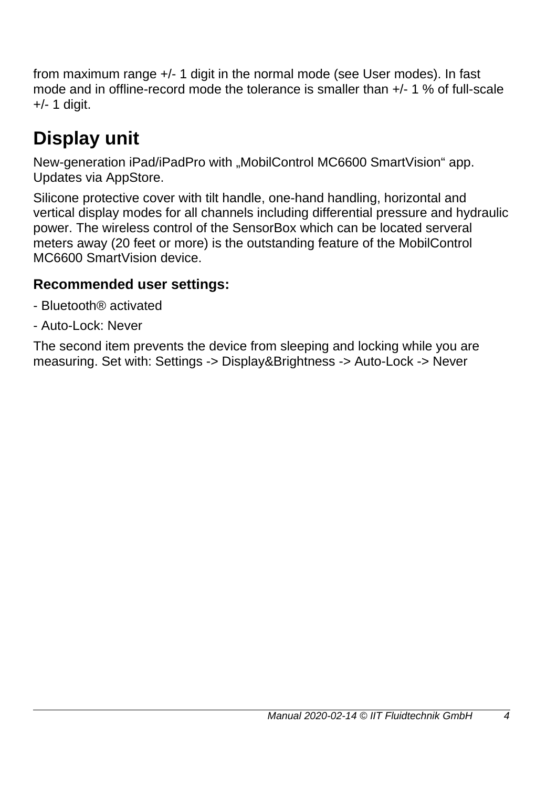from maximum range +/- 1 digit in the normal mode (see User modes). In fast mode and in offline-record mode the tolerance is smaller than +/- 1 % of full-scale +/- 1 digit.

## **Display unit**

New-generation iPad/iPadPro with "MobilControl MC6600 SmartVision" app. Updates via AppStore.

Silicone protective cover with tilt handle, one-hand handling, horizontal and vertical display modes for all channels including differential pressure and hydraulic power. The wireless control of the SensorBox which can be located serveral meters away (20 feet or more) is the outstanding feature of the MobilControl MC6600 SmartVision device.

#### **Recommended user settings:**

- Bluetooth® activated
- Auto-Lock: Never

The second item prevents the device from sleeping and locking while you are measuring. Set with: Settings -> Display&Brightness -> Auto-Lock -> Never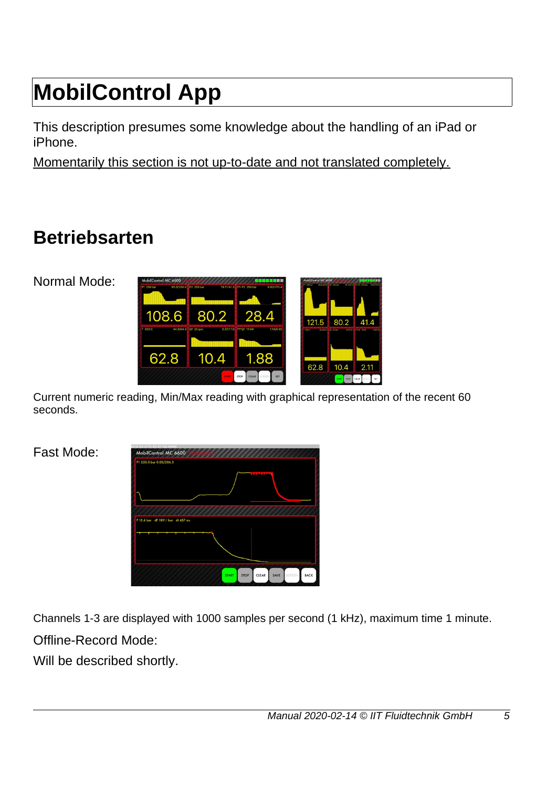# **MobilControl App**

This description presumes some knowledge about the handling of an iPad or iPhone.

Momentarily this section is not up-to-date and not translated completely.

### **Betriebsarten**

Normal Mode:



Current numeric reading, Min/Max reading with graphical representation of the recent 60 seconds.

Fast Mode:

| 2019-03-2711-43-27-NO NAME<br>MobilControl MC 6600 |              |             |                 |      |        |             |
|----------------------------------------------------|--------------|-------------|-----------------|------|--------|-------------|
| P1 250.0 bar 0.00/206.3                            |              |             |                 |      |        |             |
|                                                    |              |             | <b>ALCOHOL:</b> |      |        |             |
|                                                    |              |             |                 |      |        |             |
| P 15.6 bar dP 189.1 bar dt 457 ms                  |              |             |                 |      |        |             |
|                                                    |              |             |                 |      |        |             |
|                                                    |              |             |                 |      |        |             |
|                                                    | <b>START</b> | <b>STOP</b> | CLEAR           | SAVE | SCREEN | <b>BACK</b> |

Channels 1-3 are displayed with 1000 samples per second (1 kHz), maximum time 1 minute. Offline-Record Mode:

Will be described shortly.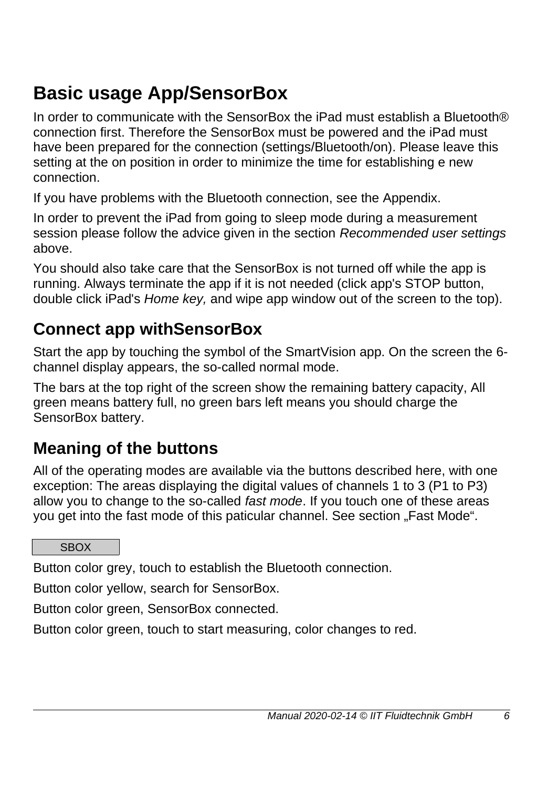### **Basic usage App/SensorBox**

In order to communicate with the SensorBox the iPad must establish a Bluetooth® connection first. Therefore the SensorBox must be powered and the iPad must have been prepared for the connection (settings/Bluetooth/on). Please leave this setting at the on position in order to minimize the time for establishing e new connection.

If you have problems with the Bluetooth connection, see the Appendix.

In order to prevent the iPad from going to sleep mode during a measurement session please follow the advice given in the section *Recommended user settings* above.

You should also take care that the SensorBox is not turned off while the app is running. Always terminate the app if it is not needed (click app's STOP button, double click iPad's *Home key,* and wipe app window out of the screen to the top).

### **Connect app withSensorBox**

Start the app by touching the symbol of the SmartVision app. On the screen the 6 channel display appears, the so-called normal mode.

The bars at the top right of the screen show the remaining battery capacity, All green means battery full, no green bars left means you should charge the SensorBox battery.

### **Meaning of the buttons**

All of the operating modes are available via the buttons described here, with one exception: The areas displaying the digital values of channels 1 to 3 (P1 to P3) allow you to change to the so-called *fast mode*. If you touch one of these areas you get into the fast mode of this paticular channel. See section "Fast Mode".

#### **SBOX**

Button color grey, touch to establish the Bluetooth connection.

Button color yellow, search for SensorBox.

Button color green, SensorBox connected.

Button color green, touch to start measuring, color changes to red.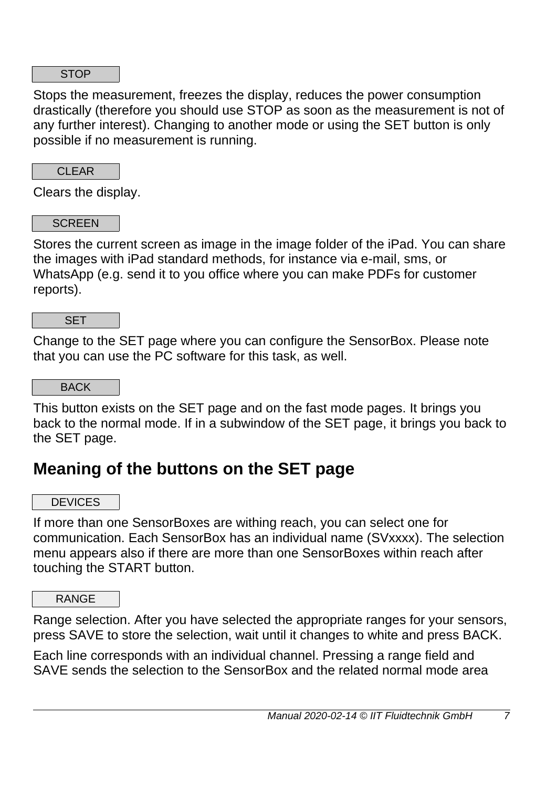#### **STOP**

Stops the measurement, freezes the display, reduces the power consumption drastically (therefore you should use STOP as soon as the measurement is not of any further interest). Changing to another mode or using the SET button is only possible if no measurement is running.

CLEAR

Clears the display.

#### **SCREEN**

Stores the current screen as image in the image folder of the iPad. You can share the images with iPad standard methods, for instance via e-mail, sms, or WhatsApp (e.g. send it to you office where you can make PDFs for customer reports).

**SET** 

Change to the SET page where you can configure the SensorBox. Please note that you can use the PC software for this task, as well.

BACK

This button exists on the SET page and on the fast mode pages. It brings you back to the normal mode. If in a subwindow of the SET page, it brings you back to the SET page.

### **Meaning of the buttons on the SET page**

**DEVICES** 

If more than one SensorBoxes are withing reach, you can select one for communication. Each SensorBox has an individual name (SVxxxx). The selection menu appears also if there are more than one SensorBoxes within reach after touching the START button.

RANGE

Range selection. After you have selected the appropriate ranges for your sensors, press SAVE to store the selection, wait until it changes to white and press BACK.

Each line corresponds with an individual channel. Pressing a range field and SAVE sends the selection to the SensorBox and the related normal mode area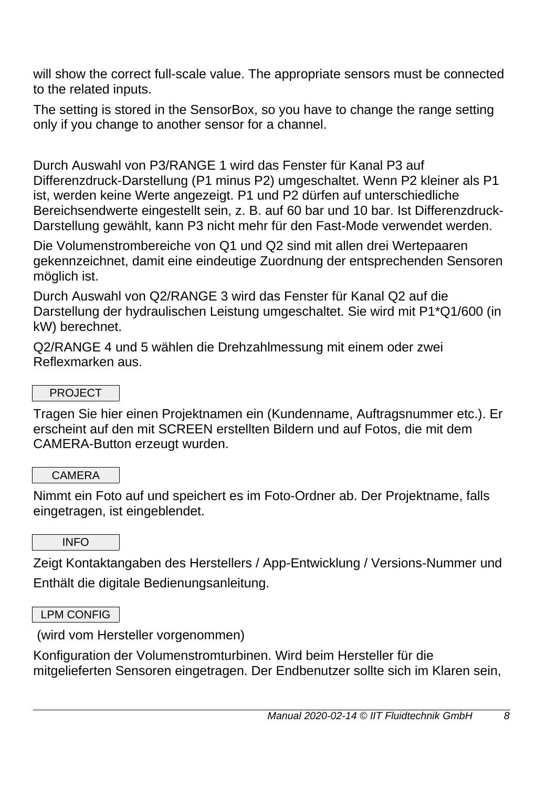will show the correct full-scale value. The appropriate sensors must be connected to the related inputs.

The setting is stored in the SensorBox, so you have to change the range setting only if you change to another sensor for a channel.

Durch Auswahl von P3/RANGE 1 wird das Fenster für Kanal P3 auf Differenzdruck-Darstellung (P1 minus P2) umgeschaltet. Wenn P2 kleiner als P1 ist, werden keine Werte angezeigt. P1 und P2 dürfen auf unterschiedliche Bereichsendwerte eingestellt sein, z. B. auf 60 bar und 10 bar. Ist Differenzdruck-Darstellung gewählt, kann P3 nicht mehr für den Fast-Mode verwendet werden.

Die Volumenstrombereiche von Q1 und Q2 sind mit allen drei Wertepaaren gekennzeichnet, damit eine eindeutige Zuordnung der entsprechenden Sensoren möglich ist.

Durch Auswahl von Q2/RANGE 3 wird das Fenster für Kanal Q2 auf die Darstellung der hydraulischen Leistung umgeschaltet. Sie wird mit P1\*Q1/600 (in kW) berechnet.

Q2/RANGE 4 und 5 wählen die Drehzahlmessung mit einem oder zwei Reflexmarken aus.

#### PROJECT

Tragen Sie hier einen Projektnamen ein (Kundenname, Auftragsnummer etc.). Er erscheint auf den mit SCREEN erstellten Bildern und auf Fotos, die mit dem CAMERA-Button erzeugt wurden.

#### **CAMERA**

Nimmt ein Foto auf und speichert es im Foto-Ordner ab. Der Projektname, falls eingetragen, ist eingeblendet.

#### INFO

Zeigt Kontaktangaben des Herstellers / App-Entwicklung / Versions-Nummer und Enthält die digitale Bedienungsanleitung.

#### LPM CONFIG

(wird vom Hersteller vorgenommen)

Konfiguration der Volumenstromturbinen. Wird beim Hersteller für die mitgelieferten Sensoren eingetragen. Der Endbenutzer sollte sich im Klaren sein,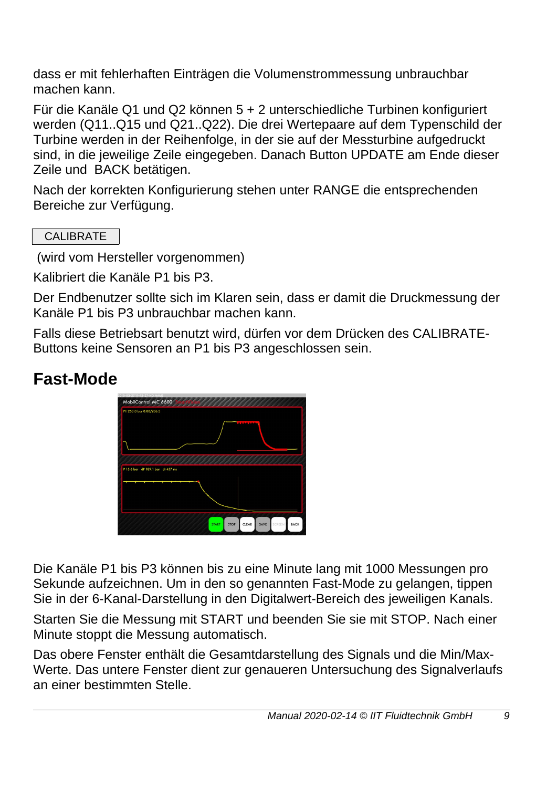dass er mit fehlerhaften Einträgen die Volumenstrommessung unbrauchbar machen kann.

Für die Kanäle Q1 und Q2 können 5 + 2 unterschiedliche Turbinen konfiguriert werden (Q11..Q15 und Q21..Q22). Die drei Wertepaare auf dem Typenschild der Turbine werden in der Reihenfolge, in der sie auf der Messturbine aufgedruckt sind, in die jeweilige Zeile eingegeben. Danach Button UPDATE am Ende dieser Zeile und BACK betätigen.

Nach der korrekten Konfigurierung stehen unter RANGE die entsprechenden Bereiche zur Verfügung.

CALIBRATE

(wird vom Hersteller vorgenommen)

Kalibriert die Kanäle P1 bis P3.

Der Endbenutzer sollte sich im Klaren sein, dass er damit die Druckmessung der Kanäle P1 bis P3 unbrauchbar machen kann.

Falls diese Betriebsart benutzt wird, dürfen vor dem Drücken des CALIBRATE-Buttons keine Sensoren an P1 bis P3 angeschlossen sein.

### **Fast-Mode**



Die Kanäle P1 bis P3 können bis zu eine Minute lang mit 1000 Messungen pro Sekunde aufzeichnen. Um in den so genannten Fast-Mode zu gelangen, tippen Sie in der 6-Kanal-Darstellung in den Digitalwert-Bereich des jeweiligen Kanals.

Starten Sie die Messung mit START und beenden Sie sie mit STOP. Nach einer Minute stoppt die Messung automatisch.

Das obere Fenster enthält die Gesamtdarstellung des Signals und die Min/Max-Werte. Das untere Fenster dient zur genaueren Untersuchung des Signalverlaufs an einer bestimmten Stelle.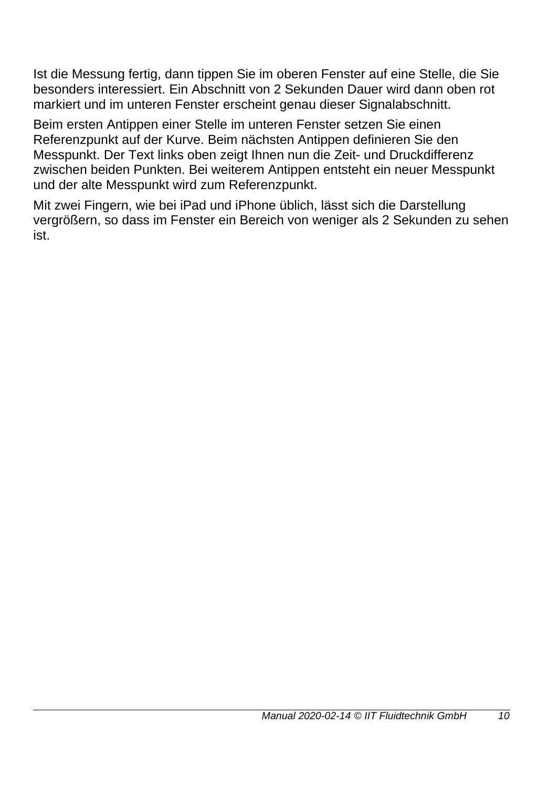Ist die Messung fertig, dann tippen Sie im oberen Fenster auf eine Stelle, die Sie besonders interessiert. Ein Abschnitt von 2 Sekunden Dauer wird dann oben rot markiert und im unteren Fenster erscheint genau dieser Signalabschnitt.

Beim ersten Antippen einer Stelle im unteren Fenster setzen Sie einen Referenzpunkt auf der Kurve. Beim nächsten Antippen definieren Sie den Messpunkt. Der Text links oben zeigt Ihnen nun die Zeit- und Druckdifferenz zwischen beiden Punkten. Bei weiterem Antippen entsteht ein neuer Messpunkt und der alte Messpunkt wird zum Referenzpunkt.

Mit zwei Fingern, wie bei iPad und iPhone üblich, lässt sich die Darstellung vergrößern, so dass im Fenster ein Bereich von weniger als 2 Sekunden zu sehen ist.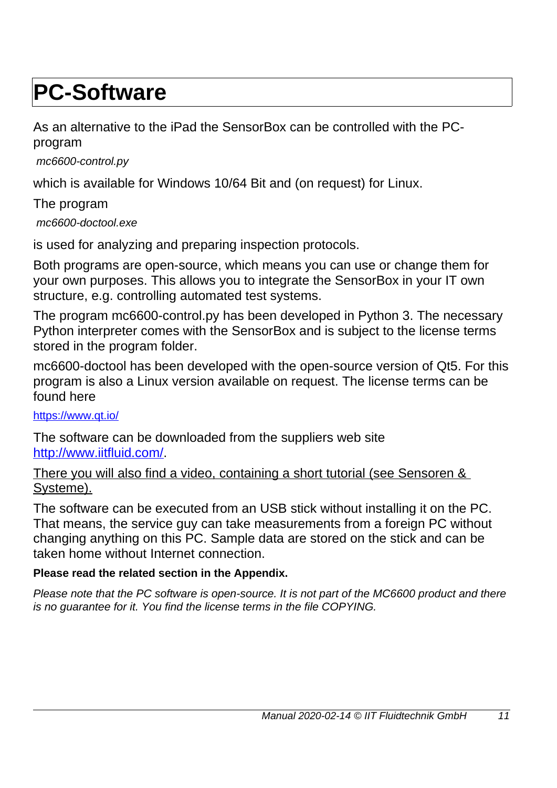## **PC-Software**

As an alternative to the iPad the SensorBox can be controlled with the PCprogram

*mc6600-control.py*

which is available for Windows 10/64 Bit and (on request) for Linux.

The program *mc6600-doctool.exe*

is used for analyzing and preparing inspection protocols.

Both programs are open-source, which means you can use or change them for your own purposes. This allows you to integrate the SensorBox in your IT own structure, e.g. controlling automated test systems.

The program mc6600-control.py has been developed in Python 3. The necessary Python interpreter comes with the SensorBox and is subject to the license terms stored in the program folder.

mc6600-doctool has been developed with the open-source version of Qt5. For this program is also a Linux version available on request. The license terms can be found here

<https://www.qt.io/>

The software can be downloaded from the suppliers web site [http://www.iitfluid.com/.](http://www.iitfluid.com/)

There you will also find a video, containing a short tutorial (see Sensoren & Systeme).

The software can be executed from an USB stick without installing it on the PC. That means, the service guy can take measurements from a foreign PC without changing anything on this PC. Sample data are stored on the stick and can be taken home without Internet connection.

#### **Please read the related section in the Appendix.**

*Please note that the PC software is open-source. It is not part of the MC6600 product and there is no guarantee for it. You find the license terms in the file COPYING.*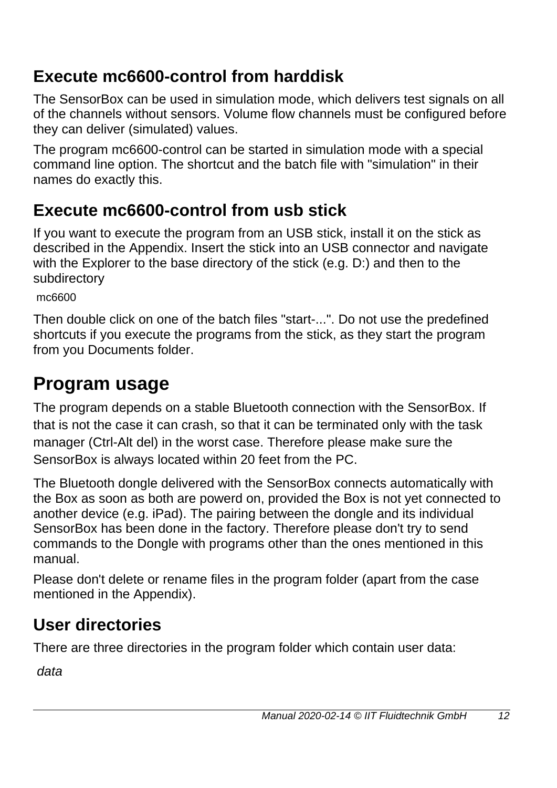### **Execute mc6600-control from harddisk**

The SensorBox can be used in simulation mode, which delivers test signals on all of the channels without sensors. Volume flow channels must be configured before they can deliver (simulated) values.

The program mc6600-control can be started in simulation mode with a special command line option. The shortcut and the batch file with "simulation" in their names do exactly this.

### **Execute mc6600-control from usb stick**

If you want to execute the program from an USB stick, install it on the stick as described in the Appendix. Insert the stick into an USB connector and navigate with the Explorer to the base directory of the stick (e.g. D:) and then to the subdirectory

mc6600

Then double click on one of the batch files "start-...". Do not use the predefined shortcuts if you execute the programs from the stick, as they start the program from you Documents folder.

### **Program usage**

The program depends on a stable Bluetooth connection with the SensorBox. If that is not the case it can crash, so that it can be terminated only with the task manager (Ctrl-Alt del) in the worst case. Therefore please make sure the SensorBox is always located within 20 feet from the PC.

The Bluetooth dongle delivered with the SensorBox connects automatically with the Box as soon as both are powerd on, provided the Box is not yet connected to another device (e.g. iPad). The pairing between the dongle and its individual SensorBox has been done in the factory. Therefore please don't try to send commands to the Dongle with programs other than the ones mentioned in this manual.

Please don't delete or rename files in the program folder (apart from the case mentioned in the Appendix).

### **User directories**

There are three directories in the program folder which contain user data:

*data*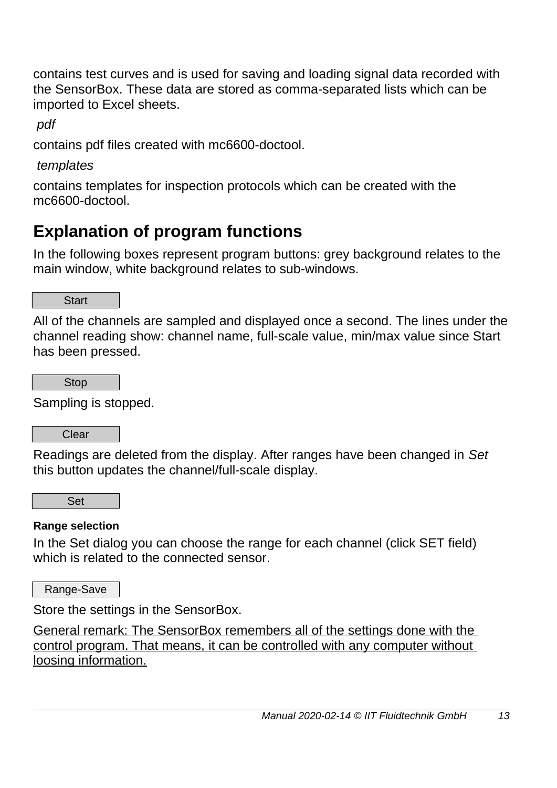contains test curves and is used for saving and loading signal data recorded with the SensorBox. These data are stored as comma-separated lists which can be imported to Excel sheets.

*pdf*

contains pdf files created with mc6600-doctool.

*templates*

contains templates for inspection protocols which can be created with the mc6600-doctool.

### **Explanation of program functions**

In the following boxes represent program buttons: grey background relates to the main window, white background relates to sub-windows.

**Start** 

All of the channels are sampled and displayed once a second. The lines under the channel reading show: channel name, full-scale value, min/max value since Start has been pressed.

Stop

Sampling is stopped.

Clear

Readings are deleted from the display. After ranges have been changed in *Set* this button updates the channel/full-scale display.

Set

#### **Range selection**

In the Set dialog you can choose the range for each channel (click SET field) which is related to the connected sensor.

Range-Save

Store the settings in the SensorBox.

General remark: The SensorBox remembers all of the settings done with the control program. That means, it can be controlled with any computer without loosing information.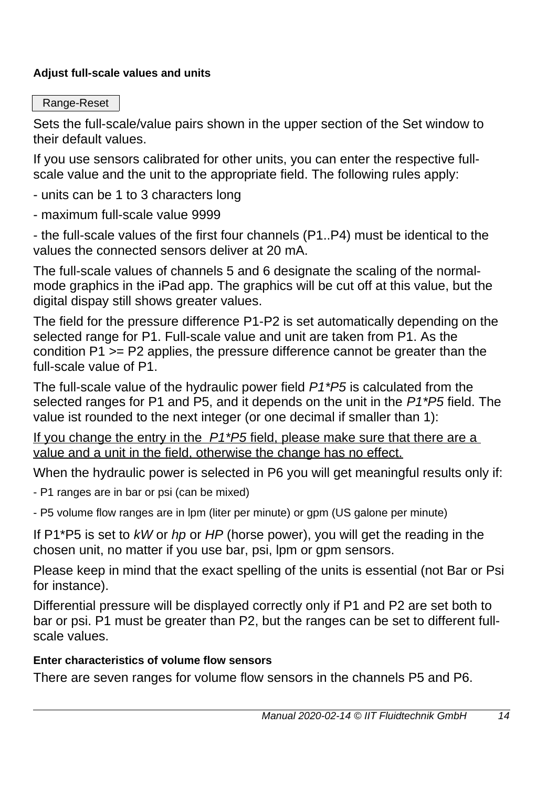#### **Adjust full-scale values and units**

Range-Reset

Sets the full-scale/value pairs shown in the upper section of the Set window to their default values.

If you use sensors calibrated for other units, you can enter the respective fullscale value and the unit to the appropriate field. The following rules apply:

- units can be 1 to 3 characters long
- maximum full-scale value 9999

- the full-scale values of the first four channels (P1..P4) must be identical to the values the connected sensors deliver at 20 mA.

The full-scale values of channels 5 and 6 designate the scaling of the normalmode graphics in the iPad app. The graphics will be cut off at this value, but the digital dispay still shows greater values.

The field for the pressure difference P1-P2 is set automatically depending on the selected range for P1. Full-scale value and unit are taken from P1. As the condition P1 >= P2 applies, the pressure difference cannot be greater than the full-scale value of P1.

The full-scale value of the hydraulic power field *P1\*P5* is calculated from the selected ranges for P1 and P5, and it depends on the unit in the *P1\*P5* field. The value ist rounded to the next integer (or one decimal if smaller than 1):

 If you change the entry in the *P1\*P5* field, please make sure that there are a value and a unit in the field, otherwise the change has no effect.

When the hydraulic power is selected in P6 you will get meaningful results only if:

- P1 ranges are in bar or psi (can be mixed)

- P5 volume flow ranges are in lpm (liter per minute) or gpm (US galone per minute)

If P1\*P5 is set to *kW* or *hp* or *HP* (horse power), you will get the reading in the chosen unit, no matter if you use bar, psi, lpm or gpm sensors.

Please keep in mind that the exact spelling of the units is essential (not Bar or Psi for instance).

Differential pressure will be displayed correctly only if P1 and P2 are set both to bar or psi. P1 must be greater than P2, but the ranges can be set to different fullscale values.

#### **Enter characteristics of volume flow sensors**

There are seven ranges for volume flow sensors in the channels P5 and P6.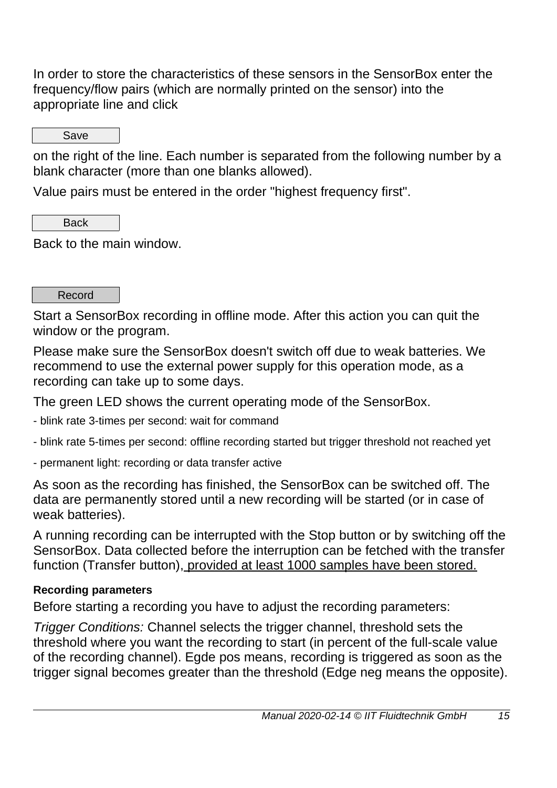In order to store the characteristics of these sensors in the SensorBox enter the frequency/flow pairs (which are normally printed on the sensor) into the appropriate line and click

Save

on the right of the line. Each number is separated from the following number by a blank character (more than one blanks allowed).

Value pairs must be entered in the order "highest frequency first".

Back

Back to the main window.

Record

Start a SensorBox recording in offline mode. After this action you can quit the window or the program.

Please make sure the SensorBox doesn't switch off due to weak batteries. We recommend to use the external power supply for this operation mode, as a recording can take up to some days.

The green LED shows the current operating mode of the SensorBox.

- blink rate 3-times per second: wait for command
- blink rate 5-times per second: offline recording started but trigger threshold not reached yet
- permanent light: recording or data transfer active

As soon as the recording has finished, the SensorBox can be switched off. The data are permanently stored until a new recording will be started (or in case of weak batteries).

A running recording can be interrupted with the Stop button or by switching off the SensorBox. Data collected before the interruption can be fetched with the transfer function (Transfer button), provided at least 1000 samples have been stored.

#### **Recording parameters**

Before starting a recording you have to adjust the recording parameters:

*Trigger Conditions:* Channel selects the trigger channel, threshold sets the threshold where you want the recording to start (in percent of the full-scale value of the recording channel). Egde pos means, recording is triggered as soon as the trigger signal becomes greater than the threshold (Edge neg means the opposite).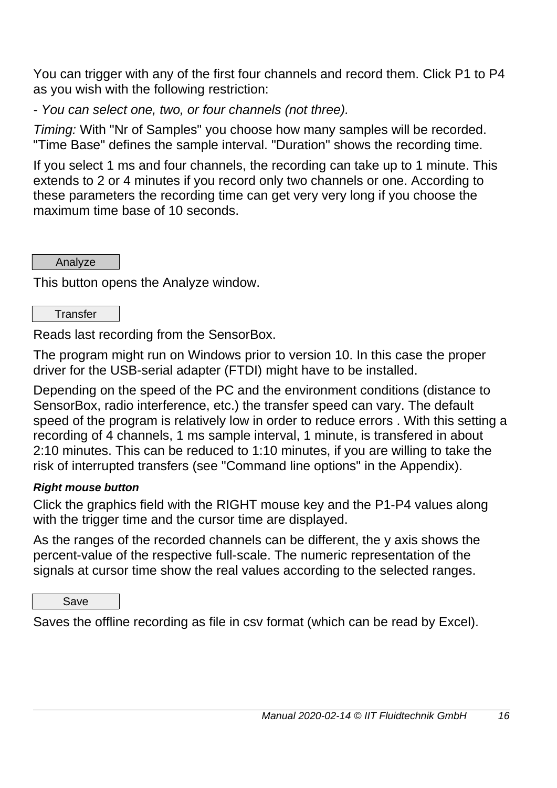You can trigger with any of the first four channels and record them. Click P1 to P4 as you wish with the following restriction:

*- You can select one, two, or four channels (not three).*

*Timing:* With "Nr of Samples" you choose how many samples will be recorded. "Time Base" defines the sample interval. "Duration" shows the recording time.

If you select 1 ms and four channels, the recording can take up to 1 minute. This extends to 2 or 4 minutes if you record only two channels or one. According to these parameters the recording time can get very very long if you choose the maximum time base of 10 seconds.

Analyze

This button opens the Analyze window.

#### **Transfer**

Reads last recording from the SensorBox.

The program might run on Windows prior to version 10. In this case the proper driver for the USB-serial adapter (FTDI) might have to be installed.

Depending on the speed of the PC and the environment conditions (distance to SensorBox, radio interference, etc.) the transfer speed can vary. The default speed of the program is relatively low in order to reduce errors . With this setting a recording of 4 channels, 1 ms sample interval, 1 minute, is transfered in about 2:10 minutes. This can be reduced to 1:10 minutes, if you are willing to take the risk of interrupted transfers (see "Command line options" in the Appendix).

#### *Right mouse button*

Click the graphics field with the RIGHT mouse key and the P1-P4 values along with the trigger time and the cursor time are displayed.

As the ranges of the recorded channels can be different, the y axis shows the percent-value of the respective full-scale. The numeric representation of the signals at cursor time show the real values according to the selected ranges.

Save

Saves the offline recording as file in csv format (which can be read by Excel).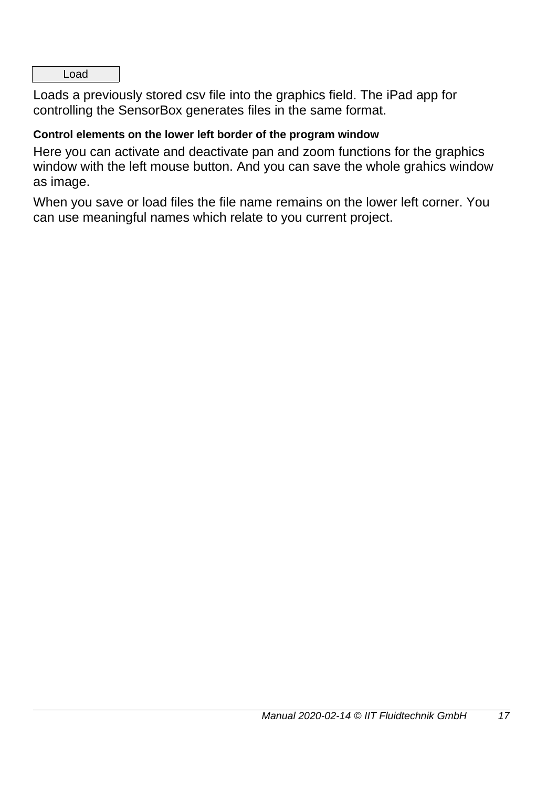Load

Loads a previously stored csv file into the graphics field. The iPad app for controlling the SensorBox generates files in the same format.

#### **Control elements on the lower left border of the program window**

Here you can activate and deactivate pan and zoom functions for the graphics window with the left mouse button. And you can save the whole grahics window as image.

When you save or load files the file name remains on the lower left corner. You can use meaningful names which relate to you current project.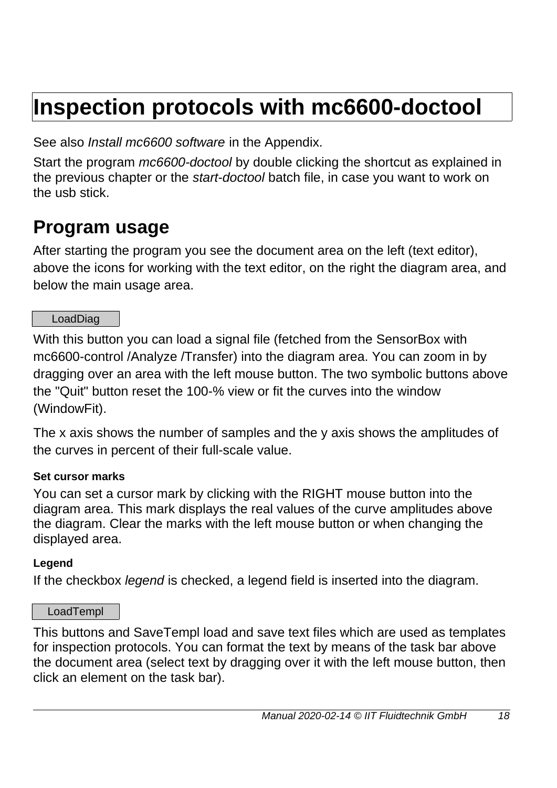# **Inspection protocols with mc6600-doctool**

See also *Install mc6600 software* in the Appendix.

Start the program *mc6600-doctool* by double clicking the shortcut as explained in the previous chapter or the *start-doctool* batch file, in case you want to work on the usb stick.

### **Program usage**

After starting the program you see the document area on the left (text editor), above the icons for working with the text editor, on the right the diagram area, and below the main usage area.

#### LoadDiag

With this button you can load a signal file (fetched from the SensorBox with mc6600-control /Analyze /Transfer) into the diagram area. You can zoom in by dragging over an area with the left mouse button. The two symbolic buttons above the "Quit" button reset the 100-% view or fit the curves into the window (WindowFit).

The x axis shows the number of samples and the y axis shows the amplitudes of the curves in percent of their full-scale value.

#### **Set cursor marks**

You can set a cursor mark by clicking with the RIGHT mouse button into the diagram area. This mark displays the real values of the curve amplitudes above the diagram. Clear the marks with the left mouse button or when changing the displayed area.

#### **Legend**

If the checkbox *legend* is checked, a legend field is inserted into the diagram.

#### LoadTempl

This buttons and SaveTempl load and save text files which are used as templates for inspection protocols. You can format the text by means of the task bar above the document area (select text by dragging over it with the left mouse button, then click an element on the task bar).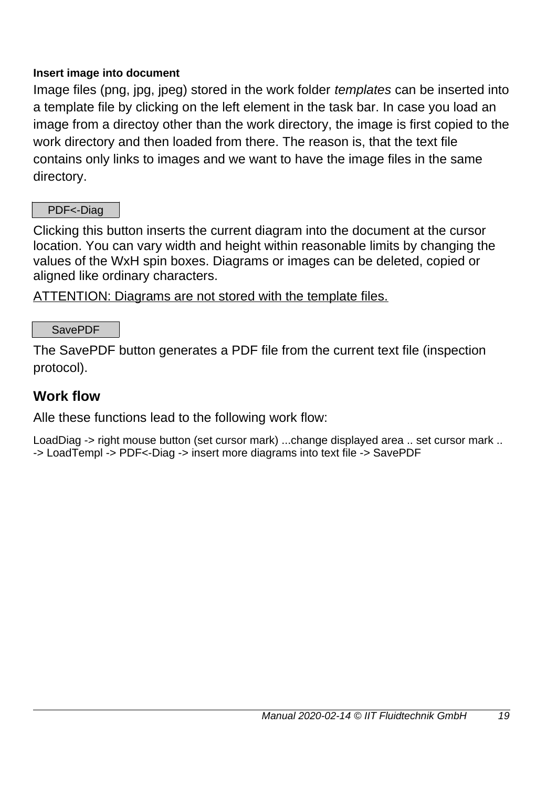#### **Insert image into document**

Image files (png, jpg, jpeg) stored in the work folder *templates* can be inserted into a template file by clicking on the left element in the task bar. In case you load an image from a directoy other than the work directory, the image is first copied to the work directory and then loaded from there. The reason is, that the text file contains only links to images and we want to have the image files in the same directory.

#### PDF<-Diag

Clicking this button inserts the current diagram into the document at the cursor location. You can vary width and height within reasonable limits by changing the values of the WxH spin boxes. Diagrams or images can be deleted, copied or aligned like ordinary characters.

ATTENTION: Diagrams are not stored with the template files.

#### SavePDF

The SavePDF button generates a PDF file from the current text file (inspection protocol).

#### **Work flow**

Alle these functions lead to the following work flow:

LoadDiag -> right mouse button (set cursor mark) ...change displayed area .. set cursor mark .. -> LoadTempl -> PDF<-Diag -> insert more diagrams into text file -> SavePDF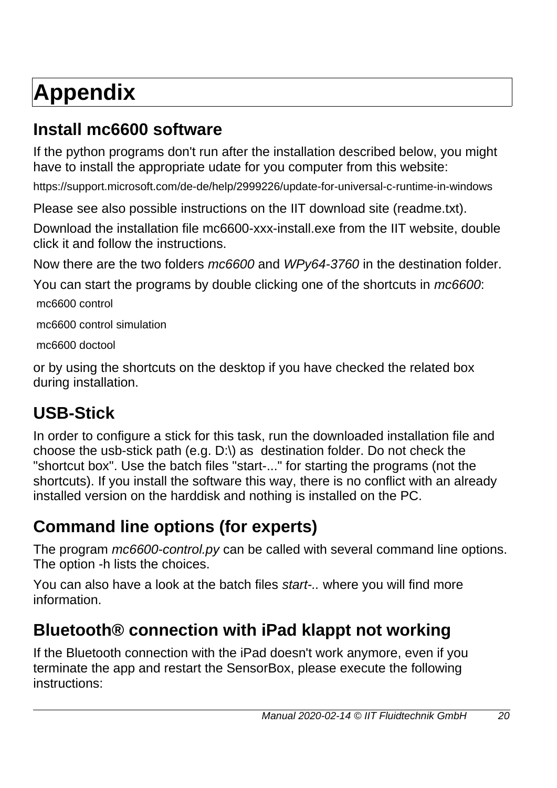# **Appendix**

### **Install mc6600 software**

If the python programs don't run after the installation described below, you might have to install the appropriate udate for you computer from this website:

https://support.microsoft.com/de-de/help/2999226/update-for-universal-c-runtime-in-windows

Please see also possible instructions on the IIT download site (readme.txt).

Download the installation file mc6600-xxx-install.exe from the IIT website, double click it and follow the instructions.

Now there are the two folders *mc6600* and *WPy64-3760* in the destination folder.

You can start the programs by double clicking one of the shortcuts in *mc6600*: mc6600 control

mc6600 control simulation

mc6600 doctool

or by using the shortcuts on the desktop if you have checked the related box during installation.

### **USB-Stick**

In order to configure a stick for this task, run the downloaded installation file and choose the usb-stick path (e.g. D:\) as destination folder. Do not check the "shortcut box". Use the batch files "start-..." for starting the programs (not the shortcuts). If you install the software this way, there is no conflict with an already installed version on the harddisk and nothing is installed on the PC.

### **Command line options (for experts)**

The program *mc6600-control.py* can be called with several command line options. The option -h lists the choices.

You can also have a look at the batch files *start-..* where you will find more information.

### **Bluetooth® connection with iPad klappt not working**

If the Bluetooth connection with the iPad doesn't work anymore, even if you terminate the app and restart the SensorBox, please execute the following instructions: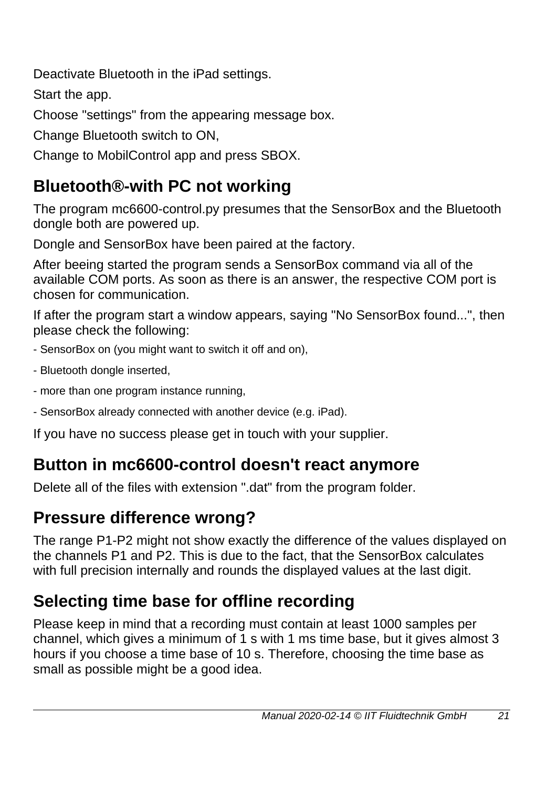Deactivate Bluetooth in the iPad settings.

Start the app.

Choose "settings" from the appearing message box.

Change Bluetooth switch to ON,

Change to MobilControl app and press SBOX.

### **Bluetooth®-with PC not working**

The program mc6600-control.py presumes that the SensorBox and the Bluetooth dongle both are powered up.

Dongle and SensorBox have been paired at the factory.

After beeing started the program sends a SensorBox command via all of the available COM ports. As soon as there is an answer, the respective COM port is chosen for communication.

If after the program start a window appears, saying "No SensorBox found...", then please check the following:

- SensorBox on (you might want to switch it off and on),
- Bluetooth dongle inserted,
- more than one program instance running,
- SensorBox already connected with another device (e.g. iPad).

If you have no success please get in touch with your supplier.

### **Button in mc6600-control doesn't react anymore**

Delete all of the files with extension ".dat" from the program folder.

### **Pressure difference wrong?**

The range P1-P2 might not show exactly the difference of the values displayed on the channels P1 and P2. This is due to the fact, that the SensorBox calculates with full precision internally and rounds the displayed values at the last digit.

### **Selecting time base for offline recording**

Please keep in mind that a recording must contain at least 1000 samples per channel, which gives a minimum of 1 s with 1 ms time base, but it gives almost 3 hours if you choose a time base of 10 s. Therefore, choosing the time base as small as possible might be a good idea.